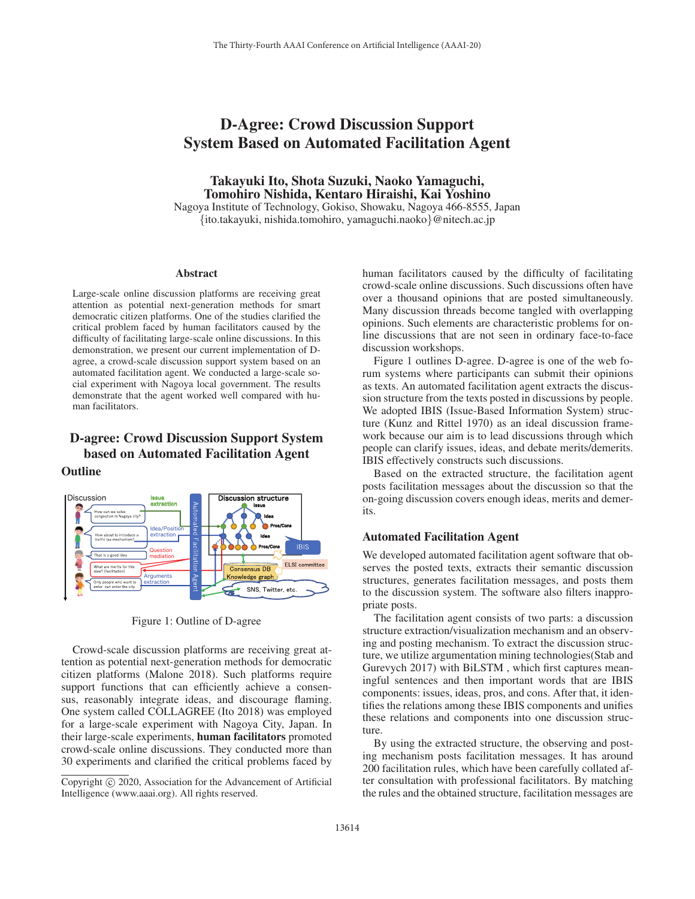## D-Agree: Crowd Discussion Support System Based on Automated Facilitation Agent

Takayuki Ito, Shota Suzuki, Naoko Yamaguchi, Tomohiro Nishida, Kentaro Hiraishi, Kai Yoshino Nagoya Institute of Technology, Gokiso, Showaku, Nagoya 466-8555, Japan

{ito.takayuki, nishida.tomohiro, yamaguchi.naoko}@nitech.ac.jp

#### Abstract

Large-scale online discussion platforms are receiving great attention as potential next-generation methods for smart democratic citizen platforms. One of the studies clarified the critical problem faced by human facilitators caused by the difficulty of facilitating large-scale online discussions. In this demonstration, we present our current implementation of Dagree, a crowd-scale discussion support system based on an automated facilitation agent. We conducted a large-scale social experiment with Nagoya local government. The results demonstrate that the agent worked well compared with human facilitators.

# D-agree: Crowd Discussion Support System based on Automated Facilitation Agent

### **Outline**



Figure 1: Outline of D-agree

Crowd-scale discussion platforms are receiving great attention as potential next-generation methods for democratic citizen platforms (Malone 2018). Such platforms require support functions that can efficiently achieve a consensus, reasonably integrate ideas, and discourage flaming. One system called COLLAGREE (Ito 2018) was employed for a large-scale experiment with Nagoya City, Japan. In their large-scale experiments, human facilitators promoted crowd-scale online discussions. They conducted more than 30 experiments and clarified the critical problems faced by human facilitators caused by the difficulty of facilitating crowd-scale online discussions. Such discussions often have over a thousand opinions that are posted simultaneously. Many discussion threads become tangled with overlapping opinions. Such elements are characteristic problems for online discussions that are not seen in ordinary face-to-face discussion workshops.

Figure 1 outlines D-agree. D-agree is one of the web forum systems where participants can submit their opinions as texts. An automated facilitation agent extracts the discussion structure from the texts posted in discussions by people. We adopted IBIS (Issue-Based Information System) structure (Kunz and Rittel 1970) as an ideal discussion framework because our aim is to lead discussions through which people can clarify issues, ideas, and debate merits/demerits. IBIS effectively constructs such discussions.

Based on the extracted structure, the facilitation agent posts facilitation messages about the discussion so that the on-going discussion covers enough ideas, merits and demerits.

#### Automated Facilitation Agent

We developed automated facilitation agent software that observes the posted texts, extracts their semantic discussion structures, generates facilitation messages, and posts them to the discussion system. The software also filters inappropriate posts.

The facilitation agent consists of two parts: a discussion structure extraction/visualization mechanism and an observing and posting mechanism. To extract the discussion structure, we utilize argumentation mining technologies(Stab and Gurevych 2017) with BiLSTM , which first captures meaningful sentences and then important words that are IBIS components: issues, ideas, pros, and cons. After that, it identifies the relations among these IBIS components and unifies these relations and components into one discussion structure.

By using the extracted structure, the observing and posting mechanism posts facilitation messages. It has around 200 facilitation rules, which have been carefully collated after consultation with professional facilitators. By matching the rules and the obtained structure, facilitation messages are

Copyright  $\odot$  2020, Association for the Advancement of Artificial Intelligence (www.aaai.org). All rights reserved.